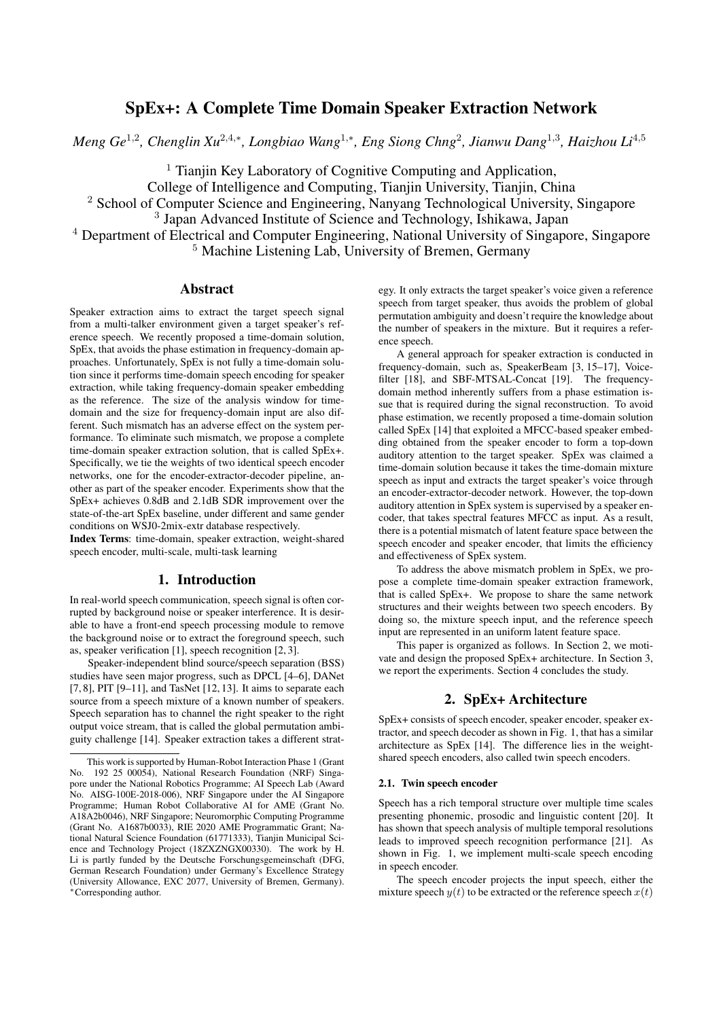# SpEx+: A Complete Time Domain Speaker Extraction Network

*Meng Ge*<sup>1</sup>,<sup>2</sup> *, Chenglin Xu*<sup>2</sup>,4,<sup>∗</sup> *, Longbiao Wang*<sup>1</sup>,<sup>∗</sup> *, Eng Siong Chng*<sup>2</sup> *, Jianwu Dang*<sup>1</sup>,<sup>3</sup> *, Haizhou Li*<sup>4</sup>,<sup>5</sup>

<sup>1</sup> Tianjin Key Laboratory of Cognitive Computing and Application,

College of Intelligence and Computing, Tianjin University, Tianjin, China

<sup>2</sup> School of Computer Science and Engineering, Nanyang Technological University, Singapore

<sup>3</sup> Japan Advanced Institute of Science and Technology, Ishikawa, Japan

<sup>4</sup> Department of Electrical and Computer Engineering, National University of Singapore, Singapore <sup>5</sup> Machine Listening Lab, University of Bremen, Germany

# Abstract

Speaker extraction aims to extract the target speech signal from a multi-talker environment given a target speaker's reference speech. We recently proposed a time-domain solution, SpEx, that avoids the phase estimation in frequency-domain approaches. Unfortunately, SpEx is not fully a time-domain solution since it performs time-domain speech encoding for speaker extraction, while taking frequency-domain speaker embedding as the reference. The size of the analysis window for timedomain and the size for frequency-domain input are also different. Such mismatch has an adverse effect on the system performance. To eliminate such mismatch, we propose a complete time-domain speaker extraction solution, that is called SpEx+. Specifically, we tie the weights of two identical speech encoder networks, one for the encoder-extractor-decoder pipeline, another as part of the speaker encoder. Experiments show that the SpEx+ achieves 0.8dB and 2.1dB SDR improvement over the state-of-the-art SpEx baseline, under different and same gender conditions on WSJ0-2mix-extr database respectively.

Index Terms: time-domain, speaker extraction, weight-shared speech encoder, multi-scale, multi-task learning

# 1. Introduction

In real-world speech communication, speech signal is often corrupted by background noise or speaker interference. It is desirable to have a front-end speech processing module to remove the background noise or to extract the foreground speech, such as, speaker verification [1], speech recognition [2, 3].

Speaker-independent blind source/speech separation (BSS) studies have seen major progress, such as DPCL [4–6], DANet [7, 8], PIT [9–11], and TasNet [12, 13]. It aims to separate each source from a speech mixture of a known number of speakers. Speech separation has to channel the right speaker to the right output voice stream, that is called the global permutation ambiguity challenge [14]. Speaker extraction takes a different strategy. It only extracts the target speaker's voice given a reference speech from target speaker, thus avoids the problem of global permutation ambiguity and doesn't require the knowledge about the number of speakers in the mixture. But it requires a reference speech.

A general approach for speaker extraction is conducted in frequency-domain, such as, SpeakerBeam [3, 15–17], Voicefilter [18], and SBF-MTSAL-Concat [19]. The frequencydomain method inherently suffers from a phase estimation issue that is required during the signal reconstruction. To avoid phase estimation, we recently proposed a time-domain solution called SpEx [14] that exploited a MFCC-based speaker embedding obtained from the speaker encoder to form a top-down auditory attention to the target speaker. SpEx was claimed a time-domain solution because it takes the time-domain mixture speech as input and extracts the target speaker's voice through an encoder-extractor-decoder network. However, the top-down auditory attention in SpEx system is supervised by a speaker encoder, that takes spectral features MFCC as input. As a result, there is a potential mismatch of latent feature space between the speech encoder and speaker encoder, that limits the efficiency and effectiveness of SpEx system.

To address the above mismatch problem in SpEx, we propose a complete time-domain speaker extraction framework, that is called SpEx+. We propose to share the same network structures and their weights between two speech encoders. By doing so, the mixture speech input, and the reference speech input are represented in an uniform latent feature space.

This paper is organized as follows. In Section 2, we motivate and design the proposed SpEx+ architecture. In Section 3, we report the experiments. Section 4 concludes the study.

# 2. SpEx+ Architecture

SpEx+ consists of speech encoder, speaker encoder, speaker extractor, and speech decoder as shown in Fig. 1, that has a similar architecture as SpEx [14]. The difference lies in the weightshared speech encoders, also called twin speech encoders.

#### 2.1. Twin speech encoder

Speech has a rich temporal structure over multiple time scales presenting phonemic, prosodic and linguistic content [20]. It has shown that speech analysis of multiple temporal resolutions leads to improved speech recognition performance [21]. As shown in Fig. 1, we implement multi-scale speech encoding in speech encoder.

The speech encoder projects the input speech, either the mixture speech  $y(t)$  to be extracted or the reference speech  $x(t)$ 

This work is supported by Human-Robot Interaction Phase 1 (Grant No. 192 25 00054), National Research Foundation (NRF) Singapore under the National Robotics Programme; AI Speech Lab (Award No. AISG-100E-2018-006), NRF Singapore under the AI Singapore Programme: Human Robot Collaborative AI for AME (Grant No. A18A2b0046), NRF Singapore; Neuromorphic Computing Programme (Grant No. A1687b0033), RIE 2020 AME Programmatic Grant; National Natural Science Foundation (61771333), Tianjin Municipal Science and Technology Project (18ZXZNGX00330). The work by H. Li is partly funded by the Deutsche Forschungsgemeinschaft (DFG, German Research Foundation) under Germany's Excellence Strategy (University Allowance, EXC 2077, University of Bremen, Germany). <sup>∗</sup>Corresponding author.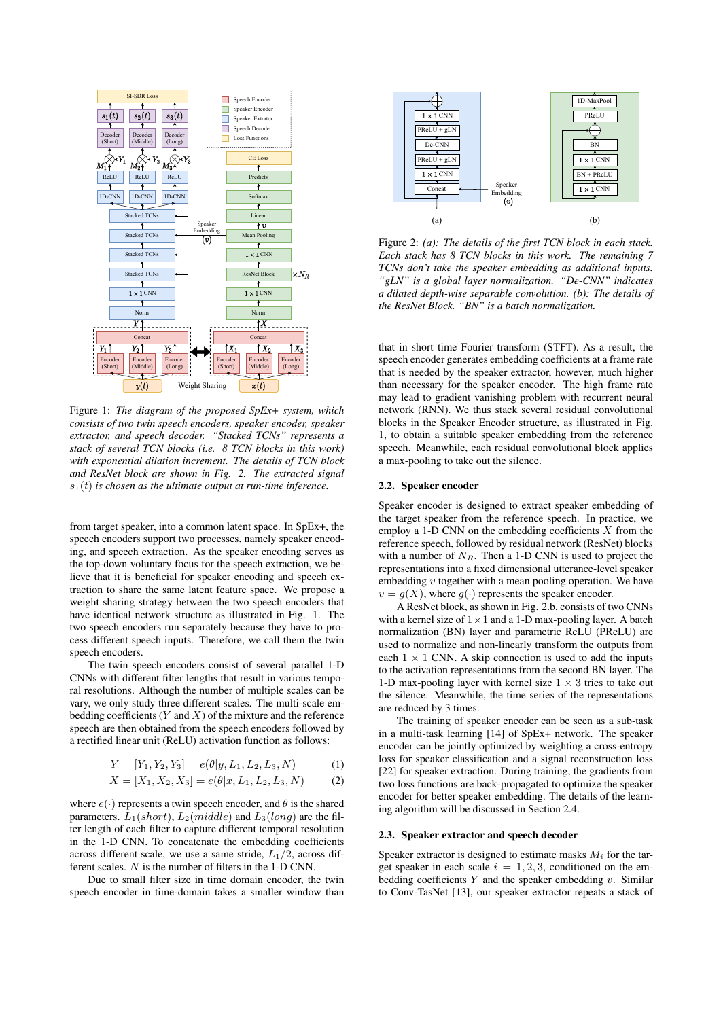

Figure 1: *The diagram of the proposed SpEx+ system, which consists of two twin speech encoders, speaker encoder, speaker extractor, and speech decoder. "Stacked TCNs" represents a stack of several TCN blocks (i.e. 8 TCN blocks in this work) with exponential dilation increment. The details of TCN block and ResNet block are shown in Fig. 2. The extracted signal*  $s_1(t)$  *is chosen as the ultimate output at run-time inference.* 

from target speaker, into a common latent space. In SpEx+, the speech encoders support two processes, namely speaker encoding, and speech extraction. As the speaker encoding serves as the top-down voluntary focus for the speech extraction, we believe that it is beneficial for speaker encoding and speech extraction to share the same latent feature space. We propose a weight sharing strategy between the two speech encoders that have identical network structure as illustrated in Fig. 1. The two speech encoders run separately because they have to process different speech inputs. Therefore, we call them the twin speech encoders.

The twin speech encoders consist of several parallel 1-D CNNs with different filter lengths that result in various temporal resolutions. Although the number of multiple scales can be vary, we only study three different scales. The multi-scale embedding coefficients  $(Y \text{ and } X)$  of the mixture and the reference speech are then obtained from the speech encoders followed by a rectified linear unit (ReLU) activation function as follows:

$$
Y = [Y_1, Y_2, Y_3] = e(\theta | y, L_1, L_2, L_3, N) \tag{1}
$$

$$
X = [X_1, X_2, X_3] = e(\theta | x, L_1, L_2, L_3, N) \tag{2}
$$

where  $e(\cdot)$  represents a twin speech encoder, and  $\theta$  is the shared parameters.  $L_1(short)$ ,  $L_2(middle)$  and  $L_3(long)$  are the filter length of each filter to capture different temporal resolution in the 1-D CNN. To concatenate the embedding coefficients across different scale, we use a same stride,  $L_1/2$ , across different scales. N is the number of filters in the 1-D CNN.

Due to small filter size in time domain encoder, the twin speech encoder in time-domain takes a smaller window than



Figure 2: *(a): The details of the first TCN block in each stack. Each stack has 8 TCN blocks in this work. The remaining 7 TCNs don't take the speaker embedding as additional inputs. "gLN" is a global layer normalization. "De-CNN" indicates a dilated depth-wise separable convolution. (b): The details of the ResNet Block. "BN" is a batch normalization.*

that in short time Fourier transform (STFT). As a result, the speech encoder generates embedding coefficients at a frame rate that is needed by the speaker extractor, however, much higher than necessary for the speaker encoder. The high frame rate may lead to gradient vanishing problem with recurrent neural network (RNN). We thus stack several residual convolutional blocks in the Speaker Encoder structure, as illustrated in Fig. 1, to obtain a suitable speaker embedding from the reference speech. Meanwhile, each residual convolutional block applies a max-pooling to take out the silence.

## 2.2. Speaker encoder

Speaker encoder is designed to extract speaker embedding of the target speaker from the reference speech. In practice, we employ a 1-D CNN on the embedding coefficients  $X$  from the reference speech, followed by residual network (ResNet) blocks with a number of  $N_R$ . Then a 1-D CNN is used to project the representations into a fixed dimensional utterance-level speaker embedding  $v$  together with a mean pooling operation. We have  $v = q(X)$ , where  $q(\cdot)$  represents the speaker encoder.

A ResNet block, as shown in Fig. 2.b, consists of two CNNs with a kernel size of  $1 \times 1$  and a 1-D max-pooling layer. A batch normalization (BN) layer and parametric ReLU (PReLU) are used to normalize and non-linearly transform the outputs from each  $1 \times 1$  CNN. A skip connection is used to add the inputs to the activation representations from the second BN layer. The 1-D max-pooling layer with kernel size  $1 \times 3$  tries to take out the silence. Meanwhile, the time series of the representations are reduced by 3 times.

The training of speaker encoder can be seen as a sub-task in a multi-task learning [14] of SpEx+ network. The speaker encoder can be jointly optimized by weighting a cross-entropy loss for speaker classification and a signal reconstruction loss [22] for speaker extraction. During training, the gradients from two loss functions are back-propagated to optimize the speaker encoder for better speaker embedding. The details of the learning algorithm will be discussed in Section 2.4.

#### 2.3. Speaker extractor and speech decoder

Speaker extractor is designed to estimate masks  $M_i$  for the target speaker in each scale  $i = 1, 2, 3$ , conditioned on the embedding coefficients  $Y$  and the speaker embedding  $v$ . Similar to Conv-TasNet [13], our speaker extractor repeats a stack of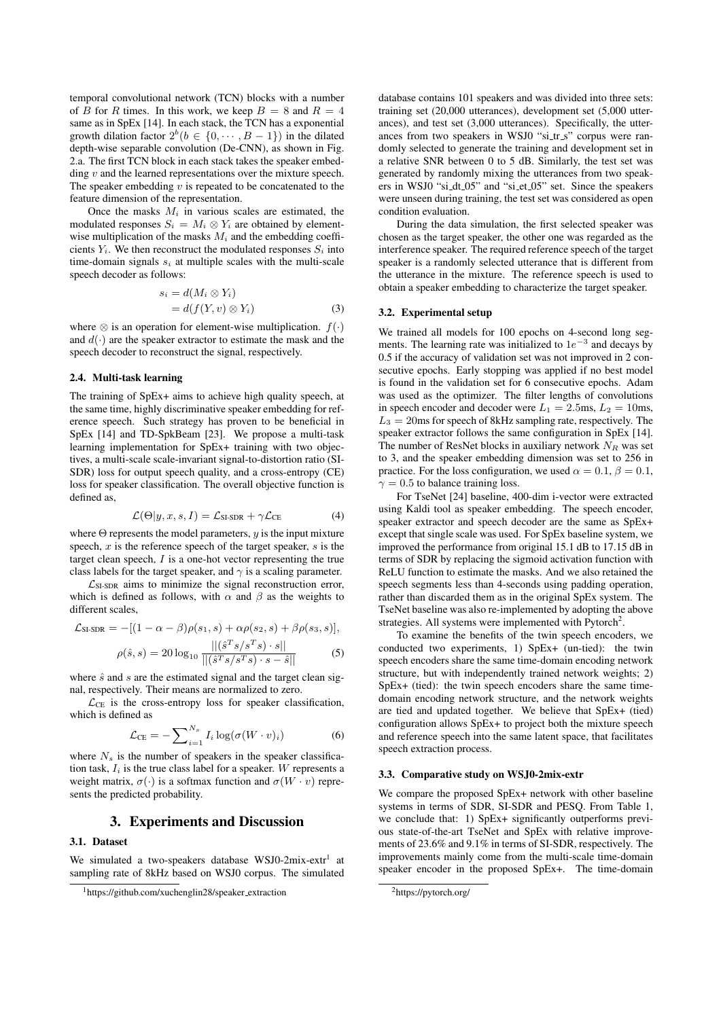temporal convolutional network (TCN) blocks with a number of B for R times. In this work, we keep  $B = 8$  and  $R = 4$ same as in SpEx [14]. In each stack, the TCN has a exponential growth dilation factor  $2^{b} (b \in \{0, \cdots, B-1\})$  in the dilated depth-wise separable convolution (De-CNN), as shown in Fig. 2.a. The first TCN block in each stack takes the speaker embedding  $v$  and the learned representations over the mixture speech. The speaker embedding  $v$  is repeated to be concatenated to the feature dimension of the representation.

Once the masks  $M_i$  in various scales are estimated, the modulated responses  $S_i = M_i \otimes Y_i$  are obtained by elementwise multiplication of the masks  $M_i$  and the embedding coefficients  $Y_i$ . We then reconstruct the modulated responses  $S_i$  into time-domain signals  $s_i$  at multiple scales with the multi-scale speech decoder as follows:

$$
s_i = d(M_i \otimes Y_i)
$$
  
=  $d(f(Y, v) \otimes Y_i)$  (3)

where  $\otimes$  is an operation for element-wise multiplication.  $f(.)$ and  $d(\cdot)$  are the speaker extractor to estimate the mask and the speech decoder to reconstruct the signal, respectively.

#### 2.4. Multi-task learning

The training of SpEx+ aims to achieve high quality speech, at the same time, highly discriminative speaker embedding for reference speech. Such strategy has proven to be beneficial in SpEx [14] and TD-SpkBeam [23]. We propose a multi-task learning implementation for SpEx+ training with two objectives, a multi-scale scale-invariant signal-to-distortion ratio (SI-SDR) loss for output speech quality, and a cross-entropy (CE) loss for speaker classification. The overall objective function is defined as,

$$
\mathcal{L}(\Theta | y, x, s, I) = \mathcal{L}_{\text{SI-SDR}} + \gamma \mathcal{L}_{\text{CE}} \tag{4}
$$

where  $\Theta$  represents the model parameters, y is the input mixture speech,  $x$  is the reference speech of the target speaker,  $s$  is the target clean speech,  $I$  is a one-hot vector representing the true class labels for the target speaker, and  $\gamma$  is a scaling parameter.

 $\mathcal{L}_{SI-SDR}$  aims to minimize the signal reconstruction error, which is defined as follows, with  $\alpha$  and  $\beta$  as the weights to different scales,

$$
\mathcal{L}_{\text{SI-SDR}} = -[(1 - \alpha - \beta)\rho(s_1, s) + \alpha\rho(s_2, s) + \beta\rho(s_3, s)],
$$

$$
\rho(\hat{s}, s) = 20 \log_{10} \frac{||(\hat{s}^T s / s^T s) \cdot s||}{||(\hat{s}^T s / s^T s) \cdot s - \hat{s}||}
$$
(5)

where 
$$
\hat{s}
$$
 and  $s$  are the estimated signal and the target clean sig-

nal, respectively. Their means are normalized to zero.  $\mathcal{L}_{CE}$  is the cross-entropy loss for speaker classification, which is defined as

$$
\mathcal{L}_{\text{CE}} = -\sum_{i=1}^{N_s} I_i \log(\sigma(W \cdot v)_i) \tag{6}
$$

where  $N<sub>s</sub>$  is the number of speakers in the speaker classification task,  $I_i$  is the true class label for a speaker. W represents a weight matrix,  $\sigma(\cdot)$  is a softmax function and  $\sigma(W \cdot v)$  represents the predicted probability.

# 3. Experiments and Discussion

## 3.1. Dataset

We simulated a two-speakers database WSJ0-2mix-extr1 at sampling rate of 8kHz based on WSJ0 corpus. The simulated database contains 101 speakers and was divided into three sets: training set (20,000 utterances), development set (5,000 utterances), and test set (3,000 utterances). Specifically, the utterances from two speakers in WSJ0 "si\_tr\_s" corpus were randomly selected to generate the training and development set in a relative SNR between 0 to 5 dB. Similarly, the test set was generated by randomly mixing the utterances from two speakers in WSJ0 "si dt 05" and "si et 05" set. Since the speakers were unseen during training, the test set was considered as open condition evaluation.

During the data simulation, the first selected speaker was chosen as the target speaker, the other one was regarded as the interference speaker. The required reference speech of the target speaker is a randomly selected utterance that is different from the utterance in the mixture. The reference speech is used to obtain a speaker embedding to characterize the target speaker.

## 3.2. Experimental setup

We trained all models for 100 epochs on 4-second long segments. The learning rate was initialized to  $1e^{-3}$  and decays by 0.5 if the accuracy of validation set was not improved in 2 consecutive epochs. Early stopping was applied if no best model is found in the validation set for 6 consecutive epochs. Adam was used as the optimizer. The filter lengths of convolutions in speech encoder and decoder were  $L_1 = 2.5$ ms,  $L_2 = 10$ ms,  $L_3 = 20$ ms for speech of 8kHz sampling rate, respectively. The speaker extractor follows the same configuration in SpEx [14]. The number of ResNet blocks in auxiliary network  $N_R$  was set to 3, and the speaker embedding dimension was set to 256 in practice. For the loss configuration, we used  $\alpha = 0.1$ ,  $\beta = 0.1$ ,  $\gamma = 0.5$  to balance training loss.

For TseNet [24] baseline, 400-dim i-vector were extracted using Kaldi tool as speaker embedding. The speech encoder, speaker extractor and speech decoder are the same as SpEx+ except that single scale was used. For SpEx baseline system, we improved the performance from original 15.1 dB to 17.15 dB in terms of SDR by replacing the sigmoid activation function with ReLU function to estimate the masks. And we also retained the speech segments less than 4-seconds using padding operation, rather than discarded them as in the original SpEx system. The TseNet baseline was also re-implemented by adopting the above strategies. All systems were implemented with Pytorch<sup>2</sup>.

To examine the benefits of the twin speech encoders, we conducted two experiments, 1) SpEx+ (un-tied): the twin speech encoders share the same time-domain encoding network structure, but with independently trained network weights; 2) SpEx+ (tied): the twin speech encoders share the same timedomain encoding network structure, and the network weights are tied and updated together. We believe that SpEx+ (tied) configuration allows SpEx+ to project both the mixture speech and reference speech into the same latent space, that facilitates speech extraction process.

#### 3.3. Comparative study on WSJ0-2mix-extr

We compare the proposed SpEx+ network with other baseline systems in terms of SDR, SI-SDR and PESQ. From Table 1, we conclude that: 1) SpEx+ significantly outperforms previous state-of-the-art TseNet and SpEx with relative improvements of 23.6% and 9.1% in terms of SI-SDR, respectively. The improvements mainly come from the multi-scale time-domain speaker encoder in the proposed SpEx+. The time-domain

<sup>&</sup>lt;sup>1</sup>https://github.com/xuchenglin28/speaker\_extraction

<sup>2</sup>https://pytorch.org/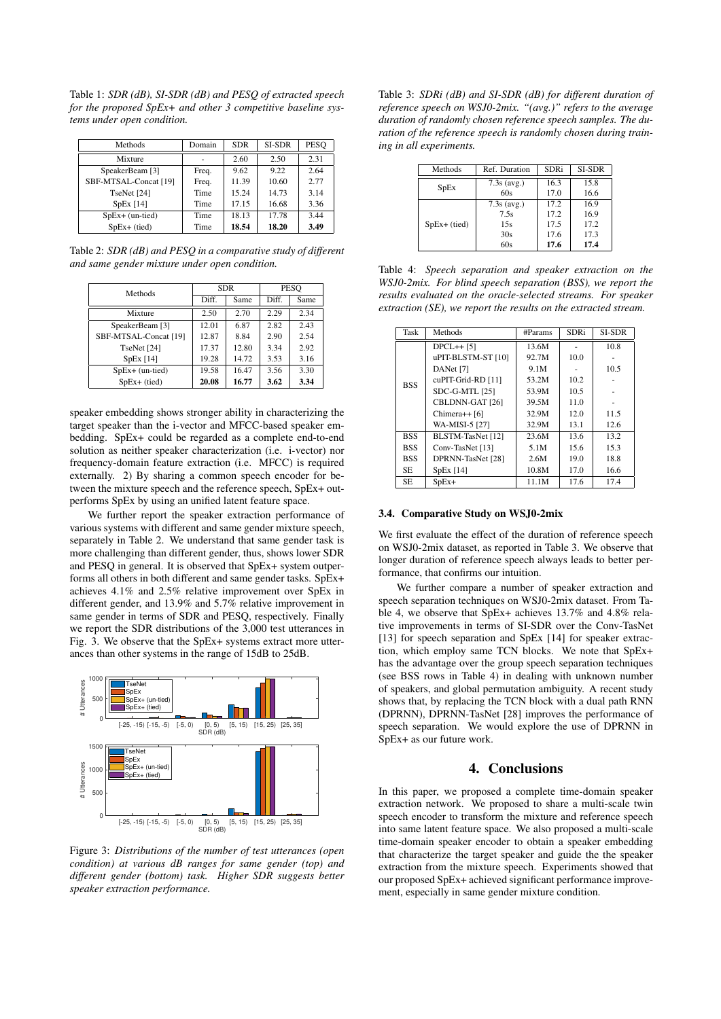Table 1: *SDR (dB), SI-SDR (dB) and PESQ of extracted speech for the proposed SpEx+ and other 3 competitive baseline systems under open condition.*

| Methods               | Domain | <b>SDR</b> | SI-SDR | <b>PESO</b> |
|-----------------------|--------|------------|--------|-------------|
| Mixture               |        | 2.60       | 2.50   | 2.31        |
| SpeakerBeam [3]       | Freq.  | 9.62       | 9.22   | 2.64        |
| SBF-MTSAL-Concat [19] | Freq.  | 11.39      | 10.60  | 2.77        |
| TseNet [24]           | Time   | 15.24      | 14.73  | 3.14        |
| SpEx[14]              | Time   | 17.15      | 16.68  | 3.36        |
| $SpEx+$ (un-tied)     | Time   | 18.13      | 17.78  | 3.44        |
| $SpEx+$ (tied)        | Time   | 18.54      | 18.20  | 3.49        |

Table 2: *SDR (dB) and PESQ in a comparative study of different and same gender mixture under open condition.*

| Methods               | <b>SDR</b> |       | PESO  |      |
|-----------------------|------------|-------|-------|------|
|                       | Diff.      | Same  | Diff. | Same |
| Mixture               | 2.50       | 2.70  | 2.29  | 2.34 |
| SpeakerBeam [3]       | 12.01      | 6.87  | 2.82  | 2.43 |
| SBF-MTSAL-Concat [19] | 12.87      | 8.84  | 2.90  | 2.54 |
| TseNet [24]           | 17.37      | 12.80 | 3.34  | 2.92 |
| SpEx[14]              | 19.28      | 14.72 | 3.53  | 3.16 |
| $SpEx+$ (un-tied)     | 19.58      | 16.47 | 3.56  | 3.30 |
| $SpEx+$ (tied)        | 20.08      | 16.77 | 3.62  | 3.34 |

speaker embedding shows stronger ability in characterizing the target speaker than the i-vector and MFCC-based speaker embedding. SpEx+ could be regarded as a complete end-to-end solution as neither speaker characterization (i.e. i-vector) nor frequency-domain feature extraction (i.e. MFCC) is required externally. 2) By sharing a common speech encoder for between the mixture speech and the reference speech, SpEx+ outperforms SpEx by using an unified latent feature space.

We further report the speaker extraction performance of various systems with different and same gender mixture speech, separately in Table 2. We understand that same gender task is more challenging than different gender, thus, shows lower SDR and PESQ in general. It is observed that SpEx+ system outperforms all others in both different and same gender tasks. SpEx+ achieves 4.1% and 2.5% relative improvement over SpEx in different gender, and 13.9% and 5.7% relative improvement in same gender in terms of SDR and PESQ, respectively. Finally we report the SDR distributions of the 3,000 test utterances in Fig. 3. We observe that the SpEx+ systems extract more utterances than other systems in the range of 15dB to 25dB.



Figure 3: *Distributions of the number of test utterances (open condition) at various dB ranges for same gender (top) and different gender (bottom) task. Higher SDR suggests better speaker extraction performance.*

Table 3: *SDRi (dB) and SI-SDR (dB) for different duration of reference speech on WSJ0-2mix. "(avg.)" refers to the average duration of randomly chosen reference speech samples. The duration of the reference speech is randomly chosen during training in all experiments.*

| Methods        | Ref. Duration |      | <b>SI-SDR</b> |  |
|----------------|---------------|------|---------------|--|
|                | $7.3s$ (avg.) | 16.3 | 15.8          |  |
| SpEx           | 60s           | 17.0 | 16.6          |  |
| $SpEx+$ (tied) | $7.3s$ (avg.) | 17.2 | 16.9          |  |
|                | 7.5s          | 17.2 | 16.9          |  |
|                | 15s           | 17.5 | 17.2          |  |
|                | 30s           | 17.6 | 17.3          |  |
|                | 60s           | 17.6 | 17.4          |  |

Table 4: *Speech separation and speaker extraction on the WSJ0-2mix. For blind speech separation (BSS), we report the results evaluated on the oracle-selected streams. For speaker extraction (SE), we report the results on the extracted stream.*

| Task       | Methods            | #Params | <b>SDRi</b> | SI-SDR |
|------------|--------------------|---------|-------------|--------|
|            | $DPCL++ [5]$       | 13.6M   |             | 10.8   |
|            | uPIT-BLSTM-ST [10] | 92.7M   | 10.0        |        |
|            | DANet [7]          | 9.1M    |             | 10.5   |
| <b>BSS</b> | cuPIT-Grid-RD [11] | 53.2M   | 10.2        |        |
|            | SDC-G-MTL [25]     | 53.9M   | 10.5        |        |
|            | CBLDNN-GAT [26]    | 39.5M   | 11.0        |        |
|            | Chimera++ $[6]$    | 32.9M   | 12.0        | 11.5   |
|            | WA-MISI-5 [27]     | 32.9M   | 13.1        | 12.6   |
| <b>BSS</b> | BLSTM-TasNet [12]  | 23.6M   | 13.6        | 13.2   |
| <b>BSS</b> | Conv-TasNet [13]   | 5.1M    | 15.6        | 15.3   |
| <b>BSS</b> | DPRNN-TasNet [28]  | 2.6M    | 19.0        | 18.8   |
| SE.        | SpEx[14]           | 10.8M   | 17.0        | 16.6   |
| <b>SE</b>  | $SpEx+$            | 11.1M   | 17.6        | 17.4   |

#### 3.4. Comparative Study on WSJ0-2mix

We first evaluate the effect of the duration of reference speech on WSJ0-2mix dataset, as reported in Table 3. We observe that longer duration of reference speech always leads to better performance, that confirms our intuition.

We further compare a number of speaker extraction and speech separation techniques on WSJ0-2mix dataset. From Table 4, we observe that SpEx+ achieves 13.7% and 4.8% relative improvements in terms of SI-SDR over the Conv-TasNet [13] for speech separation and SpEx [14] for speaker extraction, which employ same TCN blocks. We note that SpEx+ has the advantage over the group speech separation techniques (see BSS rows in Table 4) in dealing with unknown number of speakers, and global permutation ambiguity. A recent study shows that, by replacing the TCN block with a dual path RNN (DPRNN), DPRNN-TasNet [28] improves the performance of speech separation. We would explore the use of DPRNN in SpEx+ as our future work.

# 4. Conclusions

In this paper, we proposed a complete time-domain speaker extraction network. We proposed to share a multi-scale twin speech encoder to transform the mixture and reference speech into same latent feature space. We also proposed a multi-scale time-domain speaker encoder to obtain a speaker embedding that characterize the target speaker and guide the the speaker extraction from the mixture speech. Experiments showed that our proposed SpEx+ achieved significant performance improvement, especially in same gender mixture condition.